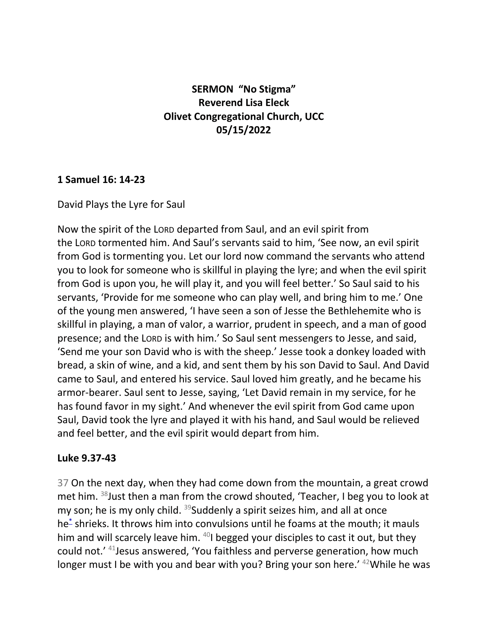## **SERMON "No Stigma" Reverend Lisa Eleck Olivet Congregational Church, UCC 05/15/2022**

## **1 Samuel 16: 14-23**

David Plays the Lyre for Saul

Now the spirit of the LORD departed from Saul, and an evil spirit from the LORD tormented him. And Saul's servants said to him, 'See now, an evil spirit from God is tormenting you. Let our lord now command the servants who attend you to look for someone who is skillful in playing the lyre; and when the evil spirit from God is upon you, he will play it, and you will feel better.' So Saul said to his servants, 'Provide for me someone who can play well, and bring him to me.' One of the young men answered, 'I have seen a son of Jesse the Bethlehemite who is skillful in playing, a man of valor, a warrior, prudent in speech, and a man of good presence; and the LORD is with him.' So Saul sent messengers to Jesse, and said, 'Send me your son David who is with the sheep.' Jesse took a donkey loaded with bread, a skin of wine, and a kid, and sent them by his son David to Saul. And David came to Saul, and entered his service. Saul loved him greatly, and he became his armor-bearer. Saul sent to Jesse, saying, 'Let David remain in my service, for he has found favor in my sight.' And whenever the evil spirit from God came upon Saul, David took the lyre and played it with his hand, and Saul would be relieved and feel better, and the evil spirit would depart from him.

## **Luke 9.37-43**

37 On the next day, when they had come down from the mountain, a great crowd met him. <sup>38</sup>Just then a man from the crowd shouted, 'Teacher, I beg you to look at my son; he is my only child.  $39$ Suddenly a spirit seizes him, and all at once he[\\*](javascript:void(0);) shrieks. It throws him into convulsions until he foams at the mouth; it mauls him and will scarcely leave him.  $40$ I begged your disciples to cast it out, but they could not.' <sup>41</sup>Jesus answered, 'You faithless and perverse generation, how much longer must I be with you and bear with you? Bring your son here.' <sup>42</sup>While he was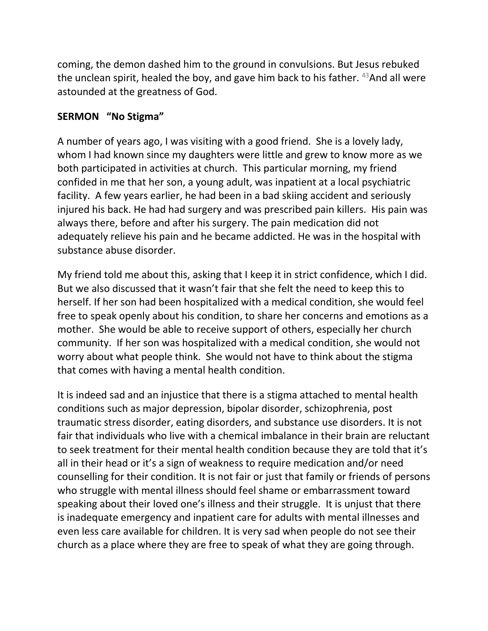coming, the demon dashed him to the ground in convulsions. But Jesus rebuked the unclean spirit, healed the boy, and gave him back to his father. <sup>43</sup>And all were astounded at the greatness of God.

## **SERMON "No Stigma"**

A number of years ago, I was visiting with a good friend. She is a lovely lady, whom I had known since my daughters were little and grew to know more as we both participated in activities at church. This particular morning, my friend confided in me that her son, a young adult, was inpatient at a local psychiatric facility. A few years earlier, he had been in a bad skiing accident and seriously injured his back. He had had surgery and was prescribed pain killers. His pain was always there, before and after his surgery. The pain medication did not adequately relieve his pain and he became addicted. He was in the hospital with substance abuse disorder.

My friend told me about this, asking that I keep it in strict confidence, which I did. But we also discussed that it wasn't fair that she felt the need to keep this to herself. If her son had been hospitalized with a medical condition, she would feel free to speak openly about his condition, to share her concerns and emotions as a mother. She would be able to receive support of others, especially her church community. If her son was hospitalized with a medical condition, she would not worry about what people think. She would not have to think about the stigma that comes with having a mental health condition.

It is indeed sad and an injustice that there is a stigma attached to mental health conditions such as major depression, bipolar disorder, schizophrenia, post traumatic stress disorder, eating disorders, and substance use disorders. It is not fair that individuals who live with a chemical imbalance in their brain are reluctant to seek treatment for their mental health condition because they are told that it's all in their head or it's a sign of weakness to require medication and/or need counselling for their condition. It is not fair or just that family or friends of persons who struggle with mental illness should feel shame or embarrassment toward speaking about their loved one's illness and their struggle. It is unjust that there is inadequate emergency and inpatient care for adults with mental illnesses and even less care available for children. It is very sad when people do not see their church as a place where they are free to speak of what they are going through.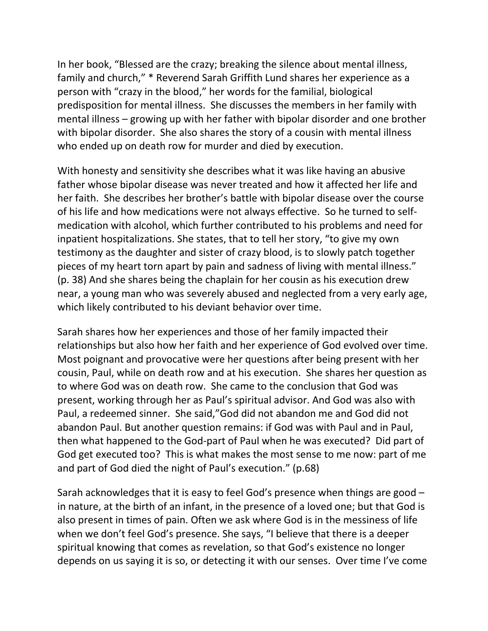In her book, "Blessed are the crazy; breaking the silence about mental illness, family and church," \* Reverend Sarah Griffith Lund shares her experience as a person with "crazy in the blood," her words for the familial, biological predisposition for mental illness. She discusses the members in her family with mental illness – growing up with her father with bipolar disorder and one brother with bipolar disorder. She also shares the story of a cousin with mental illness who ended up on death row for murder and died by execution.

With honesty and sensitivity she describes what it was like having an abusive father whose bipolar disease was never treated and how it affected her life and her faith. She describes her brother's battle with bipolar disease over the course of his life and how medications were not always effective. So he turned to selfmedication with alcohol, which further contributed to his problems and need for inpatient hospitalizations. She states, that to tell her story, "to give my own testimony as the daughter and sister of crazy blood, is to slowly patch together pieces of my heart torn apart by pain and sadness of living with mental illness." (p. 38) And she shares being the chaplain for her cousin as his execution drew near, a young man who was severely abused and neglected from a very early age, which likely contributed to his deviant behavior over time.

Sarah shares how her experiences and those of her family impacted their relationships but also how her faith and her experience of God evolved over time. Most poignant and provocative were her questions after being present with her cousin, Paul, while on death row and at his execution. She shares her question as to where God was on death row. She came to the conclusion that God was present, working through her as Paul's spiritual advisor. And God was also with Paul, a redeemed sinner. She said,"God did not abandon me and God did not abandon Paul. But another question remains: if God was with Paul and in Paul, then what happened to the God-part of Paul when he was executed? Did part of God get executed too? This is what makes the most sense to me now: part of me and part of God died the night of Paul's execution." (p.68)

Sarah acknowledges that it is easy to feel God's presence when things are good – in nature, at the birth of an infant, in the presence of a loved one; but that God is also present in times of pain. Often we ask where God is in the messiness of life when we don't feel God's presence. She says, "I believe that there is a deeper spiritual knowing that comes as revelation, so that God's existence no longer depends on us saying it is so, or detecting it with our senses. Over time I've come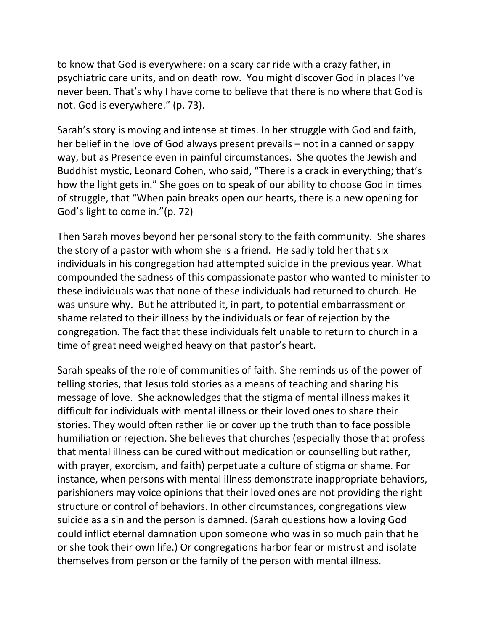to know that God is everywhere: on a scary car ride with a crazy father, in psychiatric care units, and on death row. You might discover God in places I've never been. That's why I have come to believe that there is no where that God is not. God is everywhere." (p. 73).

Sarah's story is moving and intense at times. In her struggle with God and faith, her belief in the love of God always present prevails – not in a canned or sappy way, but as Presence even in painful circumstances. She quotes the Jewish and Buddhist mystic, Leonard Cohen, who said, "There is a crack in everything; that's how the light gets in." She goes on to speak of our ability to choose God in times of struggle, that "When pain breaks open our hearts, there is a new opening for God's light to come in."(p. 72)

Then Sarah moves beyond her personal story to the faith community. She shares the story of a pastor with whom she is a friend. He sadly told her that six individuals in his congregation had attempted suicide in the previous year. What compounded the sadness of this compassionate pastor who wanted to minister to these individuals was that none of these individuals had returned to church. He was unsure why. But he attributed it, in part, to potential embarrassment or shame related to their illness by the individuals or fear of rejection by the congregation. The fact that these individuals felt unable to return to church in a time of great need weighed heavy on that pastor's heart.

Sarah speaks of the role of communities of faith. She reminds us of the power of telling stories, that Jesus told stories as a means of teaching and sharing his message of love. She acknowledges that the stigma of mental illness makes it difficult for individuals with mental illness or their loved ones to share their stories. They would often rather lie or cover up the truth than to face possible humiliation or rejection. She believes that churches (especially those that profess that mental illness can be cured without medication or counselling but rather, with prayer, exorcism, and faith) perpetuate a culture of stigma or shame. For instance, when persons with mental illness demonstrate inappropriate behaviors, parishioners may voice opinions that their loved ones are not providing the right structure or control of behaviors. In other circumstances, congregations view suicide as a sin and the person is damned. (Sarah questions how a loving God could inflict eternal damnation upon someone who was in so much pain that he or she took their own life.) Or congregations harbor fear or mistrust and isolate themselves from person or the family of the person with mental illness.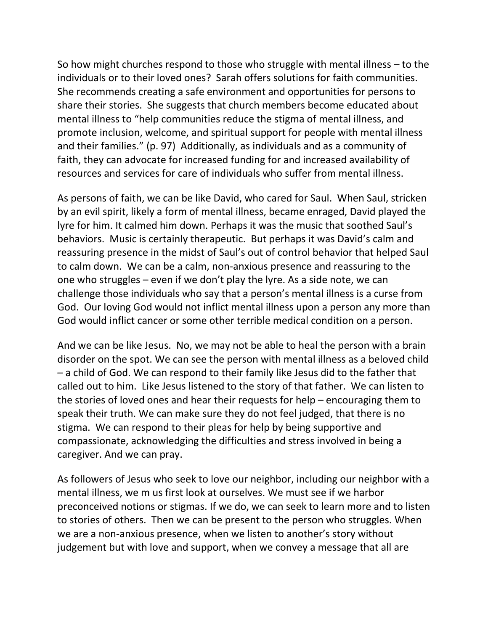So how might churches respond to those who struggle with mental illness – to the individuals or to their loved ones? Sarah offers solutions for faith communities. She recommends creating a safe environment and opportunities for persons to share their stories. She suggests that church members become educated about mental illness to "help communities reduce the stigma of mental illness, and promote inclusion, welcome, and spiritual support for people with mental illness and their families." (p. 97) Additionally, as individuals and as a community of faith, they can advocate for increased funding for and increased availability of resources and services for care of individuals who suffer from mental illness.

As persons of faith, we can be like David, who cared for Saul. When Saul, stricken by an evil spirit, likely a form of mental illness, became enraged, David played the lyre for him. It calmed him down. Perhaps it was the music that soothed Saul's behaviors. Music is certainly therapeutic. But perhaps it was David's calm and reassuring presence in the midst of Saul's out of control behavior that helped Saul to calm down. We can be a calm, non-anxious presence and reassuring to the one who struggles – even if we don't play the lyre. As a side note, we can challenge those individuals who say that a person's mental illness is a curse from God. Our loving God would not inflict mental illness upon a person any more than God would inflict cancer or some other terrible medical condition on a person.

And we can be like Jesus. No, we may not be able to heal the person with a brain disorder on the spot. We can see the person with mental illness as a beloved child – a child of God. We can respond to their family like Jesus did to the father that called out to him. Like Jesus listened to the story of that father. We can listen to the stories of loved ones and hear their requests for help – encouraging them to speak their truth. We can make sure they do not feel judged, that there is no stigma. We can respond to their pleas for help by being supportive and compassionate, acknowledging the difficulties and stress involved in being a caregiver. And we can pray.

As followers of Jesus who seek to love our neighbor, including our neighbor with a mental illness, we m us first look at ourselves. We must see if we harbor preconceived notions or stigmas. If we do, we can seek to learn more and to listen to stories of others. Then we can be present to the person who struggles. When we are a non-anxious presence, when we listen to another's story without judgement but with love and support, when we convey a message that all are